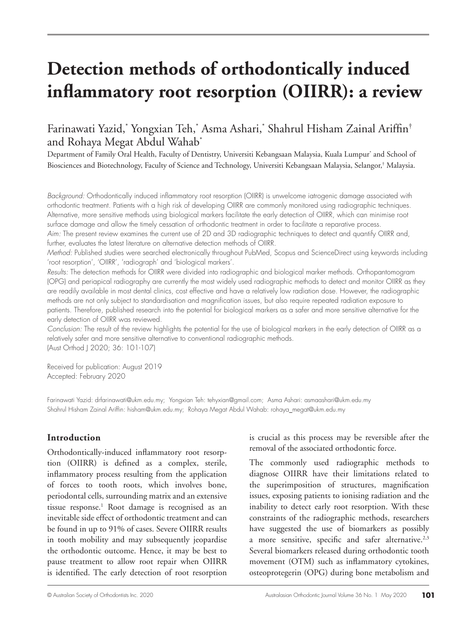# **Detection methods of orthodontically induced inflammatory root resorption (OIIRR): a review**

# Farinawati Yazid,\* Yongxian Teh,\* Asma Ashari,\* Shahrul Hisham Zainal Ariffin† and Rohaya Megat Abdul Wahab\*

Department of Family Oral Health, Faculty of Dentistry, Universiti Kebangsaan Malaysia, Kuala Lumpur\* and School of Biosciences and Biotechnology, Faculty of Science and Technology, Universiti Kebangsaan Malaysia, Selangor,† Malaysia.

*Background:* Orthodontically induced inflammatory root resorption (OIIRR) is unwelcome iatrogenic damage associated with orthodontic treatment. Patients with a high risk of developing OIIRR are commonly monitored using radiographic techniques. Alternative, more sensitive methods using biological markers facilitate the early detection of OIIRR, which can minimise root surface damage and allow the timely cessation of orthodontic treatment in order to facilitate a reparative process. *Aim:* The present review examines the current use of 2D and 3D radiographic techniques to detect and quantify OIIRR and, further, evaluates the latest literature on alternative detection methods of OIIRR.

*Method:* Published studies were searched electronically throughout PubMed, Scopus and ScienceDirect using keywords including 'root resorption', 'OIIRR', 'radiograph' and 'biological markers'.

*Results:* The detection methods for OIIRR were divided into radiographic and biological marker methods. Orthopantomogram (OPG) and periapical radiography are currently the most widely used radiographic methods to detect and monitor OIIRR as they are readily available in most dental clinics, cost effective and have a relatively low radiation dose. However, the radiographic methods are not only subject to standardisation and magnification issues, but also require repeated radiation exposure to patients. Therefore, published research into the potential for biological markers as a safer and more sensitive alternative for the early detection of OIIRR was reviewed.

*Conclusion:* The result of the review highlights the potential for the use of biological markers in the early detection of OIIRR as a relatively safer and more sensitive alternative to conventional radiographic methods. (Aust Orthod J 2020; 36: 101-107)

Received for publication: August 2019 Accepted: February 2020

Farinawati Yazid: drfarinawati@ukm.edu.my; Yongxian Teh: tehyxian@gmail.com; Asma Ashari: asmaashari@ukm.edu.my Shahrul Hisham Zainal Ariffin: hisham@ukm.edu.my; Rohaya Megat Abdul Wahab: rohaya\_megat@ukm.edu.my

# **Introduction**

Orthodontically-induced inflammatory root resorption (OIIRR) is defined as a complex, sterile, inflammatory process resulting from the application of forces to tooth roots, which involves bone, periodontal cells, surrounding matrix and an extensive tissue response.<sup>1</sup> Root damage is recognised as an inevitable side effect of orthodontic treatment and can be found in up to 91% of cases. Severe OIIRR results in tooth mobility and may subsequently jeopardise the orthodontic outcome. Hence, it may be best to pause treatment to allow root repair when OIIRR is identified. The early detection of root resorption

is crucial as this process may be reversible after the removal of the associated orthodontic force.

The commonly used radiographic methods to diagnose OIIRR have their limitations related to the superimposition of structures, magnification issues, exposing patients to ionising radiation and the inability to detect early root resorption. With these constraints of the radiographic methods, researchers have suggested the use of biomarkers as possibly a more sensitive, specific and safer alternative.<sup>2,3</sup> Several biomarkers released during orthodontic tooth movement (OTM) such as inflammatory cytokines, osteoprotegerin (OPG) during bone metabolism and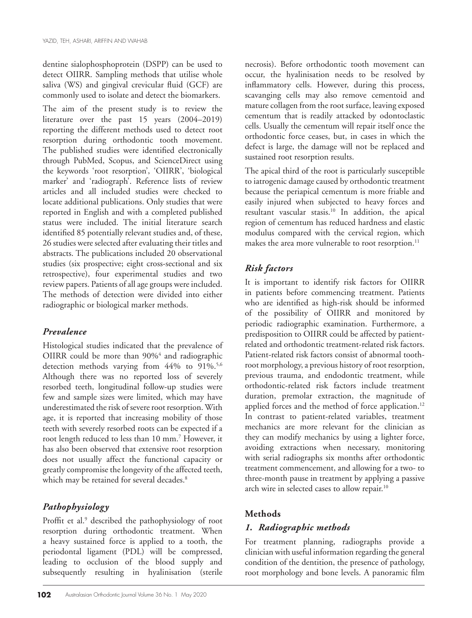dentine sialophosphoprotein (DSPP) can be used to detect OIIRR. Sampling methods that utilise whole saliva (WS) and gingival crevicular fluid (GCF) are commonly used to isolate and detect the biomarkers.

The aim of the present study is to review the literature over the past 15 years (2004–2019) reporting the different methods used to detect root resorption during orthodontic tooth movement. The published studies were identified electronically through PubMed, Scopus, and ScienceDirect using the keywords 'root resorption', 'OIIRR', 'biological marker' and 'radiograph'. Reference lists of review articles and all included studies were checked to locate additional publications. Only studies that were reported in English and with a completed published status were included. The initial literature search identified 85 potentially relevant studies and, of these, 26 studies were selected after evaluating their titles and abstracts. The publications included 20 observational studies (six prospective; eight cross-sectional and six retrospective), four experimental studies and two review papers. Patients of all age groups were included. The methods of detection were divided into either radiographic or biological marker methods.

# *Prevalence*

Histological studies indicated that the prevalence of OIIRR could be more than 90%<sup>4</sup> and radiographic detection methods varying from 44% to 91%.<sup>5,6</sup> Although there was no reported loss of severely resorbed teeth, longitudinal follow-up studies were few and sample sizes were limited, which may have underestimated the risk of severe root resorption. With age, it is reported that increasing mobility of those teeth with severely resorbed roots can be expected if a root length reduced to less than 10 mm.7 However, it has also been observed that extensive root resorption does not usually affect the functional capacity or greatly compromise the longevity of the affected teeth, which may be retained for several decades.<sup>8</sup>

# *Pathophysiology*

Proffit et al.<sup>9</sup> described the pathophysiology of root resorption during orthodontic treatment. When a heavy sustained force is applied to a tooth, the periodontal ligament (PDL) will be compressed, leading to occlusion of the blood supply and subsequently resulting in hyalinisation (sterile

necrosis). Before orthodontic tooth movement can occur, the hyalinisation needs to be resolved by inflammatory cells. However, during this process, scavanging cells may also remove cementoid and mature collagen from the root surface, leaving exposed cementum that is readily attacked by odontoclastic cells. Usually the cementum will repair itself once the orthodontic force ceases, but, in cases in which the defect is large, the damage will not be replaced and sustained root resorption results.

The apical third of the root is particularly susceptible to iatrogenic damage caused by orthodontic treatment because the periapical cementum is more friable and easily injured when subjected to heavy forces and resultant vascular stasis.10 In addition, the apical region of cementum has reduced hardness and elastic modulus compared with the cervical region, which makes the area more vulnerable to root resorption.<sup>11</sup>

# *Risk factors*

It is important to identify risk factors for OIIRR in patients before commencing treatment. Patients who are identified as high-risk should be informed of the possibility of OIIRR and monitored by periodic radiographic examination. Furthermore, a predisposition to OIIRR could be affected by patientrelated and orthodontic treatment-related risk factors. Patient-related risk factors consist of abnormal toothroot morphology, a previous history of root resorption, previous trauma, and endodontic treatment, while orthodontic-related risk factors include treatment duration, premolar extraction, the magnitude of applied forces and the method of force application.<sup>12</sup> In contrast to patient-related variables, treatment mechanics are more relevant for the clinician as they can modify mechanics by using a lighter force, avoiding extractions when necessary, monitoring with serial radiographs six months after orthodontic treatment commencement, and allowing for a two- to three-month pause in treatment by applying a passive arch wire in selected cases to allow repair.10

# **Methods**

# *1. Radiographic methods*

For treatment planning, radiographs provide a clinician with useful information regarding the general condition of the dentition, the presence of pathology, root morphology and bone levels. A panoramic film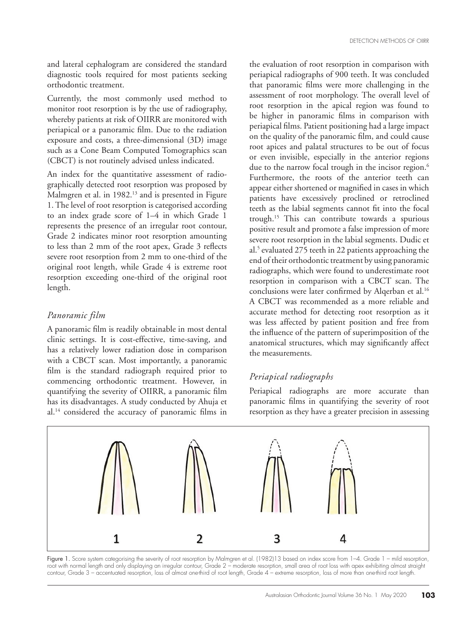and lateral cephalogram are considered the standard diagnostic tools required for most patients seeking orthodontic treatment.

Currently, the most commonly used method to monitor root resorption is by the use of radiography, whereby patients at risk of OIIRR are monitored with periapical or a panoramic film. Due to the radiation exposure and costs, a three-dimensional (3D) image such as a Cone Beam Computed Tomographics scan (CBCT) is not routinely advised unless indicated.

An index for the quantitative assessment of radiographically detected root resorption was proposed by Malmgren et al. in 1982.<sup>13</sup> and is presented in Figure 1. The level of root resorption is categorised according to an index grade score of 1–4 in which Grade 1 represents the presence of an irregular root contour, Grade 2 indicates minor root resorption amounting to less than 2 mm of the root apex, Grade 3 reflects severe root resorption from 2 mm to one-third of the original root length, while Grade 4 is extreme root resorption exceeding one-third of the original root length.

#### *Panoramic film*

A panoramic film is readily obtainable in most dental clinic settings. It is cost-effective, time-saving, and has a relatively lower radiation dose in comparison with a CBCT scan. Most importantly, a panoramic film is the standard radiograph required prior to commencing orthodontic treatment. However, in quantifying the severity of OIIRR, a panoramic film has its disadvantages. A study conducted by Ahuja et al.14 considered the accuracy of panoramic films in

the evaluation of root resorption in comparison with periapical radiographs of 900 teeth. It was concluded that panoramic films were more challenging in the assessment of root morphology. The overall level of root resorption in the apical region was found to be higher in panoramic films in comparison with periapical films. Patient positioning had a large impact on the quality of the panoramic film, and could cause root apices and palatal structures to be out of focus or even invisible, especially in the anterior regions due to the narrow focal trough in the incisor region.<sup>6</sup> Furthermore, the roots of the anterior teeth can appear either shortened or magnified in cases in which patients have excessively proclined or retroclined teeth as the labial segments cannot fit into the focal trough.15 This can contribute towards a spurious positive result and promote a false impression of more severe root resorption in the labial segments. Dudic et al.5 evaluated 275 teeth in 22 patients approaching the end of their orthodontic treatment by using panoramic radiographs, which were found to underestimate root resorption in comparison with a CBCT scan. The conclusions were later confirmed by Alqerban et al.<sup>16</sup> A CBCT was recommended as a more reliable and accurate method for detecting root resorption as it was less affected by patient position and free from the influence of the pattern of superimposition of the anatomical structures, which may significantly affect the measurements.

# *Periapical radiographs*

Periapical radiographs are more accurate than panoramic films in quantifying the severity of root resorption as they have a greater precision in assessing



Figure 1. Score system categorising the severity of root resorption by Malmgren et al. (1982)13 based on index score from 1-4. Grade 1 – mild resorption, root with normal length and only displaying an irregular contour, Grade 2 – moderate resorption, small area of root loss with apex exhibiting almost straight contour, Grade 3 – accentuated resorption, loss of almost one-third of root length, Grade 4 – extreme resorption, loss of more than one-third root length.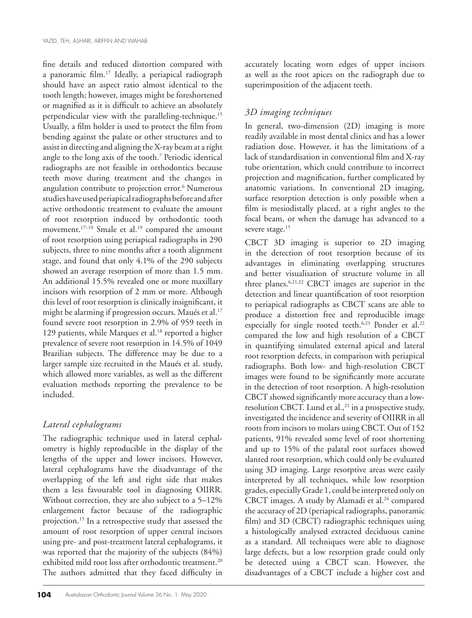fine details and reduced distortion compared with a panoramic film.17 Ideally, a periapical radiograph should have an aspect ratio almost identical to the tooth length; however, images might be foreshortened or magnified as it is difficult to achieve an absolutely perpendicular view with the paralleling-technique.15 Usually, a film holder is used to protect the film from bending against the palate or other structures and to assist in directing and aligning the X-ray beam at a right angle to the long axis of the tooth.7 Periodic identical radiographs are not feasible in orthodontics because teeth move during treatment and the changes in angulation contribute to projection error.6 Numerous studies have used periapical radiographs before and after active orthodontic treatment to evaluate the amount of root resorption induced by orthodontic tooth movement.<sup>17-19</sup> Smale et al.<sup>19</sup> compared the amount of root resorption using periapical radiographs in 290 subjects, three to nine months after a tooth alignment stage, and found that only 4.1% of the 290 subjects showed an average resorption of more than 1.5 mm. An additional 15.5% revealed one or more maxillary incisors with resorption of 2 mm or more. Although this level of root resorption is clinically insignificant, it might be alarming if progression occurs. Maués et al.<sup>17</sup> found severe root resorption in 2.9% of 959 teeth in 129 patients, while Marques et al.<sup>18</sup> reported a higher prevalence of severe root resorption in 14.5% of 1049 Brazilian subjects. The difference may be due to a larger sample size recruited in the Maués et al. study, which allowed more variables, as well as the different evaluation methods reporting the prevalence to be included.

# *Lateral cephalograms*

The radiographic technique used in lateral cephalometry is highly reproducible in the display of the lengths of the upper and lower incisors. However, lateral cephalograms have the disadvantage of the overlapping of the left and right side that makes them a less favourable tool in diagnosing OIIRR. Without correction, they are also subject to a 5–12% enlargement factor because of the radiographic projection.15 In a retrospective study that assessed the amount of root resorption of upper central incisors using pre- and post-treatment lateral cephalograms, it was reported that the majority of the subjects (84%) exhibited mild root loss after orthodontic treatment.<sup>20</sup> The authors admitted that they faced difficulty in

accurately locating worn edges of upper incisors as well as the root apices on the radiograph due to superimposition of the adjacent teeth.

#### *3D imaging techniques*

In general, two-dimension (2D) imaging is more readily available in most dental clinics and has a lower radiation dose. However, it has the limitations of a lack of standardisation in conventional film and X-ray tube orientation, which could contribute to incorrect projection and magnification, further complicated by anatomic variations. In conventional 2D imaging, surface resorption detection is only possible when a film is mesiodistally placed, at a right angles to the focal beam, or when the damage has advanced to a severe stage.<sup>15</sup>

CBCT 3D imaging is superior to 2D imaging in the detection of root resorption because of its advantages in eliminating overlapping structures and better visualisation of structure volume in all three planes.6,21,22 CBCT images are superior in the detection and linear quantification of root resorption to periapical radiographs as CBCT scans are able to produce a distortion free and reproducible image especially for single rooted teeth.<sup>6,23</sup> Ponder et al.<sup>22</sup> compared the low and high resolution of a CBCT in quantifying simulated external apical and lateral root resorption defects, in comparison with periapical radiographs. Both low- and high-resolution CBCT images were found to be significantly more accurate in the detection of root resorption. A high-resolution CBCT showed significantly more accuracy than a lowresolution CBCT. Lund et al.,<sup>21</sup> in a prospective study, investigated the incidence and severity of OIIRR in all roots from incisors to molars using CBCT. Out of 152 patients, 91% revealed some level of root shortening and up to 15% of the palatal root surfaces showed slanted root resorption, which could only be evaluated using 3D imaging. Large resorptive areas were easily interpreted by all techniques, while low resorption grades, especially Grade 1, could be interpreted only on CBCT images. A study by Alamadi et al.<sup>24</sup> compared the accuracy of 2D (periapical radiographs, panoramic film) and 3D (CBCT) radiographic techniques using a histologically analysed extracted deciduous canine as a standard. All techniques were able to diagnose large defects, but a low resorption grade could only be detected using a CBCT scan. However, the disadvantages of a CBCT include a higher cost and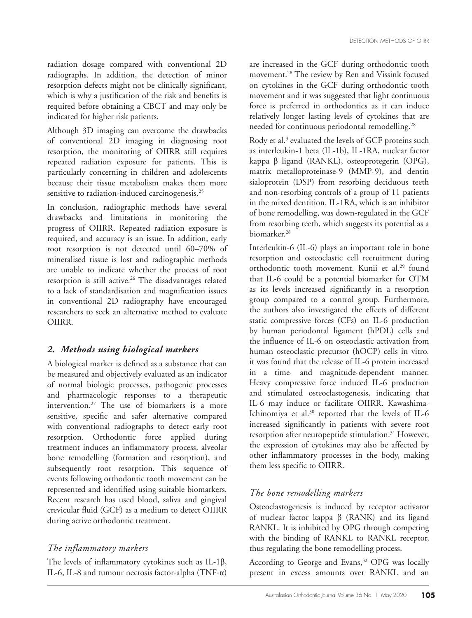radiation dosage compared with conventional 2D radiographs. In addition, the detection of minor resorption defects might not be clinically significant, which is why a justification of the risk and benefits is required before obtaining a CBCT and may only be indicated for higher risk patients.

Although 3D imaging can overcome the drawbacks of conventional 2D imaging in diagnosing root resorption, the monitoring of OIIRR still requires repeated radiation exposure for patients. This is particularly concerning in children and adolescents because their tissue metabolism makes them more sensitive to radiation-induced carcinogenesis.<sup>25</sup>

In conclusion, radiographic methods have several drawbacks and limitations in monitoring the progress of OIIRR. Repeated radiation exposure is required, and accuracy is an issue. In addition, early root resorption is not detected until 60–70% of mineralised tissue is lost and radiographic methods are unable to indicate whether the process of root resorption is still active.<sup>26</sup> The disadvantages related to a lack of standardisation and magnification issues in conventional 2D radiography have encouraged researchers to seek an alternative method to evaluate OIIRR.

#### *2. Methods using biological markers*

A biological marker is defined as a substance that can be measured and objectively evaluated as an indicator of normal biologic processes, pathogenic processes and pharmacologic responses to a therapeutic intervention.27 The use of biomarkers is a more sensitive, specific and safer alternative compared with conventional radiographs to detect early root resorption. Orthodontic force applied during treatment induces an inflammatory process, alveolar bone remodelling (formation and resorption), and subsequently root resorption. This sequence of events following orthodontic tooth movement can be represented and identified using suitable biomarkers. Recent research has used blood, saliva and gingival crevicular fluid (GCF) as a medium to detect OIIRR during active orthodontic treatment.

#### *The inflammatory markers*

The levels of inflammatory cytokines such as IL-1β, IL-6, IL-8 and tumour necrosis factor‐alpha (TNF‐α)

are increased in the GCF during orthodontic tooth movement.28 The review by Ren and Vissink focused on cytokines in the GCF during orthodontic tooth movement and it was suggested that light continuous force is preferred in orthodontics as it can induce relatively longer lasting levels of cytokines that are needed for continuous periodontal remodelling.<sup>28</sup>

Rody et al.<sup>3</sup> evaluated the levels of GCF proteins such as interleukin-1 beta (IL-1b), IL-1RA, nuclear factor kappa β ligand (RANKL), osteoprotegerin (OPG), matrix metalloproteinase-9 (MMP-9), and dentin sialoprotein (DSP) from resorbing deciduous teeth and non-resorbing controls of a group of 11 patients in the mixed dentition. IL-1RA, which is an inhibitor of bone remodelling, was down-regulated in the GCF from resorbing teeth, which suggests its potential as a biomarker.28

Interleukin-6 (IL-6) plays an important role in bone resorption and osteoclastic cell recruitment during orthodontic tooth movement. Kunii et al.<sup>29</sup> found that IL-6 could be a potential biomarker for OTM as its levels increased significantly in a resorption group compared to a control group. Furthermore, the authors also investigated the effects of different static compressive forces (CFs) on IL-6 production by human periodontal ligament (hPDL) cells and the influence of IL-6 on osteoclastic activation from human osteoclastic precursor (hOCP) cells in vitro. it was found that the release of IL-6 protein increased in a time- and magnitude-dependent manner. Heavy compressive force induced IL-6 production and stimulated osteoclastogenesis, indicating that IL-6 may induce or facilitate OIIRR. Kawashima-Ichinomiya et al.30 reported that the levels of IL-6 increased significantly in patients with severe root resorption after neuropeptide stimulation.<sup>31</sup> However, the expression of cytokines may also be affected by other inflammatory processes in the body, making them less specific to OIIRR.

#### *The bone remodelling markers*

Osteoclastogenesis is induced by receptor activator of nuclear factor kappa β (RANK) and its ligand RANKL. It is inhibited by OPG through competing with the binding of RANKL to RANKL receptor, thus regulating the bone remodelling process.

According to George and Evans,<sup>32</sup> OPG was locally present in excess amounts over RANKL and an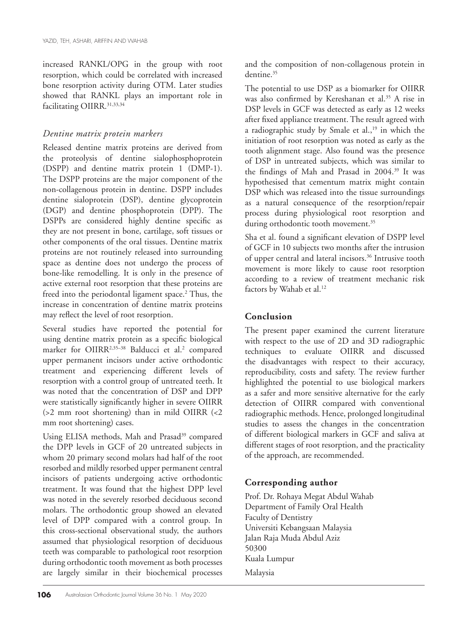increased RANKL/OPG in the group with root resorption, which could be correlated with increased bone resorption activity during OTM. Later studies showed that RANKL plays an important role in facilitating OIIRR.<sup>31,33,34</sup>

#### *Dentine matrix protein markers*

Released dentine matrix proteins are derived from the proteolysis of dentine sialophosphoprotein (DSPP) and dentine matrix protein 1 (DMP-1). The DSPP proteins are the major component of the non-collagenous protein in dentine. DSPP includes dentine sialoprotein (DSP), dentine glycoprotein (DGP) and dentine phosphoprotein (DPP). The DSPPs are considered highly dentine specific as they are not present in bone, cartilage, soft tissues or other components of the oral tissues. Dentine matrix proteins are not routinely released into surrounding space as dentine does not undergo the process of bone-like remodelling. It is only in the presence of active external root resorption that these proteins are freed into the periodontal ligament space.<sup>2</sup> Thus, the increase in concentration of dentine matrix proteins may reflect the level of root resorption.

Several studies have reported the potential for using dentine matrix protein as a specific biological marker for OIIRR<sup>2,35-38</sup> Balducci et al.<sup>2</sup> compared upper permanent incisors under active orthodontic treatment and experiencing different levels of resorption with a control group of untreated teeth. It was noted that the concentration of DSP and DPP were statistically significantly higher in severe OIIRR (>2 mm root shortening) than in mild OIIRR (<2 mm root shortening) cases.

Using ELISA methods, Mah and Prasad<sup>39</sup> compared the DPP levels in GCF of 20 untreated subjects in whom 20 primary second molars had half of the root resorbed and mildly resorbed upper permanent central incisors of patients undergoing active orthodontic treatment. It was found that the highest DPP level was noted in the severely resorbed deciduous second molars. The orthodontic group showed an elevated level of DPP compared with a control group. In this cross-sectional observational study, the authors assumed that physiological resorption of deciduous teeth was comparable to pathological root resorption during orthodontic tooth movement as both processes are largely similar in their biochemical processes

and the composition of non-collagenous protein in dentine<sup>35</sup>

The potential to use DSP as a biomarker for OIIRR was also confirmed by Kereshanan et al.<sup>35</sup> A rise in DSP levels in GCF was detected as early as 12 weeks after fixed appliance treatment. The result agreed with a radiographic study by Smale et al.,<sup>19</sup> in which the initiation of root resorption was noted as early as the tooth alignment stage. Also found was the presence of DSP in untreated subjects, which was similar to the findings of Mah and Prasad in 2004.39 It was hypothesised that cementum matrix might contain DSP which was released into the tissue surroundings as a natural consequence of the resorption/repair process during physiological root resorption and during orthodontic tooth movement.<sup>35</sup>

Sha et al. found a significant elevation of DSPP level of GCF in 10 subjects two months after the intrusion of upper central and lateral incisors.36 Intrusive tooth movement is more likely to cause root resorption according to a review of treatment mechanic risk factors by Wahab et al.<sup>12</sup>

# **Conclusion**

The present paper examined the current literature with respect to the use of 2D and 3D radiographic techniques to evaluate OIIRR and discussed the disadvantages with respect to their accuracy, reproducibility, costs and safety. The review further highlighted the potential to use biological markers as a safer and more sensitive alternative for the early detection of OIIRR compared with conventional radiographic methods. Hence, prolonged longitudinal studies to assess the changes in the concentration of different biological markers in GCF and saliva at different stages of root resorption, and the practicality of the approach, are recommended.

#### **Corresponding author**

Prof. Dr. Rohaya Megat Abdul Wahab Department of Family Oral Health Faculty of Dentistry Universiti Kebangsaan Malaysia Jalan Raja Muda Abdul Aziz 50300 Kuala Lumpur Malaysia